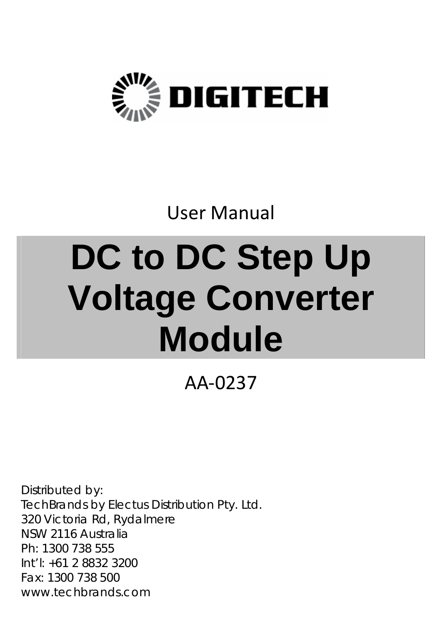

## User Manual

# **DC to DC Step Up Voltage Converter Module**

AA‐0237

Distributed by: TechBrands by Electus Distribution Pty. Ltd. 320 Victoria Rd, Rydalmere NSW 2116 Australia Ph: 1300 738 555 Int'l: +61 2 8832 3200 Fax: 1300 738 500 www.techbrands.com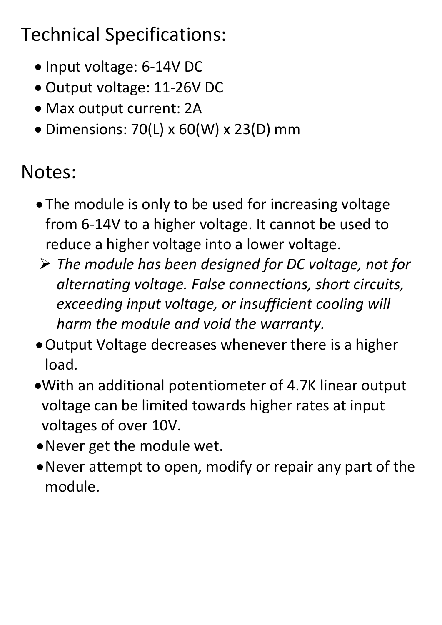## Technical Specifications:

- Input voltage: 6-14V DC
- Output voltage: 11‐26V DC
- Max output current: 2A
- $\bullet$  Dimensions: 70(L) x 60(W) x 23(D) mm

### Notes:

- The module is only to be used for increasing voltage from 6‐14V to a higher voltage. It cannot be used to reduce a higher voltage into a lower voltage.
- *The module has been designed for DC voltage, not for alternating voltage. False connections, short circuits, exceeding input voltage, or insufficient cooling will harm the module and void the warranty.*
- Output Voltage decreases whenever there is a higher load.
- With an additional potentiometer of 4.7K linear output voltage can be limited towards higher rates at input voltages of over 10V.
- Never get the module wet.
- Never attempt to open, modify or repair any part of the module.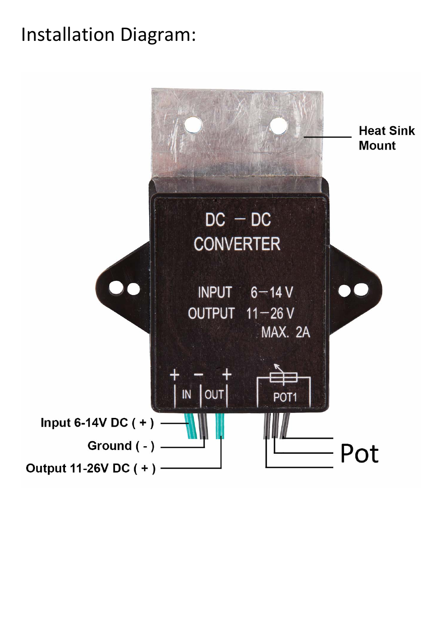#### Installation Diagram: